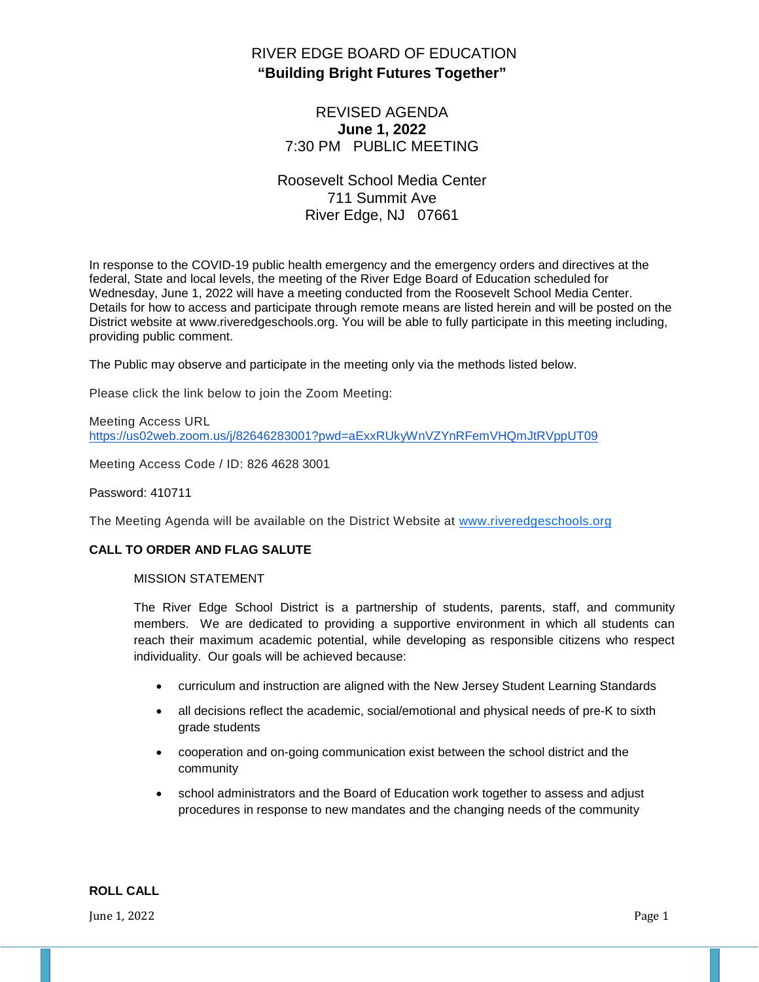# RIVER EDGE BOARD OF EDUCATION **"Building Bright Futures Together"**

## REVISED AGENDA **June 1, 2022** 7:30 PM PUBLIC MEETING

## Roosevelt School Media Center 711 Summit Ave River Edge, NJ 07661

In response to the COVID-19 public health emergency and the emergency orders and directives at the federal, State and local levels, the meeting of the River Edge Board of Education scheduled for Wednesday, June 1, 2022 will have a meeting conducted from the Roosevelt School Media Center. Details for how to access and participate through remote means are listed herein and will be posted on the District website at www.riveredgeschools.org. You will be able to fully participate in this meeting including, providing public comment.

The Public may observe and participate in the meeting only via the methods listed below.

Please click the link below to join the Zoom Meeting:

Meeting Access URL <https://us02web.zoom.us/j/82646283001?pwd=aExxRUkyWnVZYnRFemVHQmJtRVppUT09>

Meeting Access Code / ID: 826 4628 3001

#### Password: 410711

The Meeting Agenda will be available on the District Website at www[.riveredgeschools.org](http://riveredgeschools.org/)

#### **CALL TO ORDER AND FLAG SALUTE**

#### MISSION STATEMENT

The River Edge School District is a partnership of students, parents, staff, and community members. We are dedicated to providing a supportive environment in which all students can reach their maximum academic potential, while developing as responsible citizens who respect individuality. Our goals will be achieved because:

- curriculum and instruction are aligned with the New Jersey Student Learning Standards
- all decisions reflect the academic, social/emotional and physical needs of pre-K to sixth grade students
- cooperation and on-going communication exist between the school district and the community
- school administrators and the Board of Education work together to assess and adjust procedures in response to new mandates and the changing needs of the community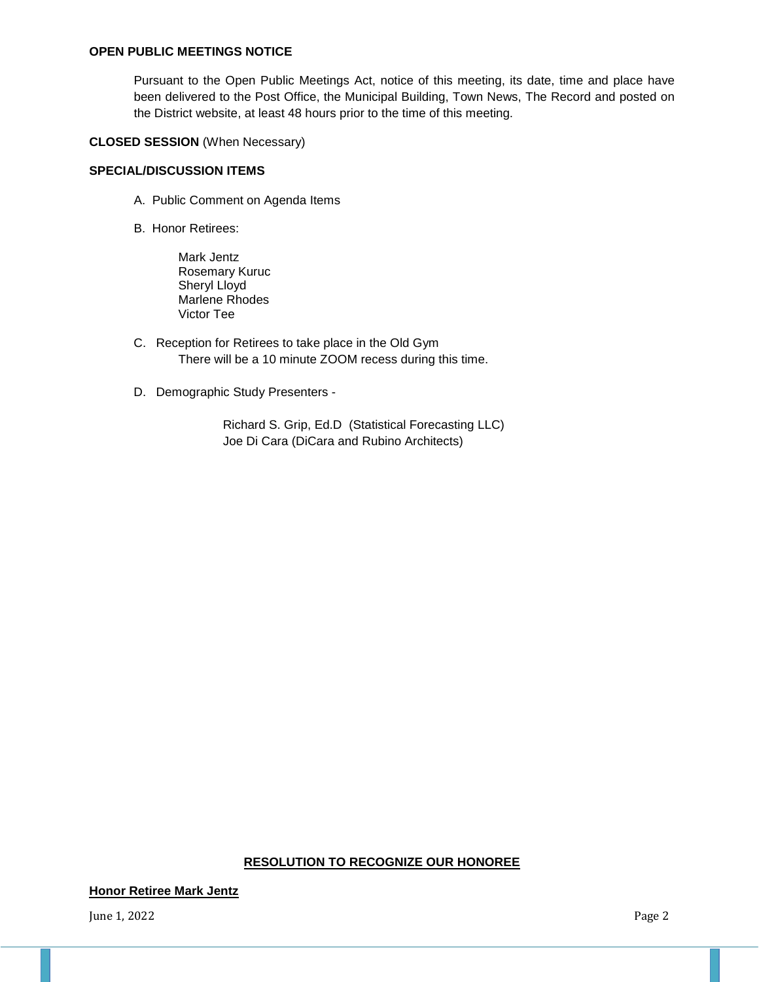#### **OPEN PUBLIC MEETINGS NOTICE**

Pursuant to the Open Public Meetings Act, notice of this meeting, its date, time and place have been delivered to the Post Office, the Municipal Building, Town News, The Record and posted on the District website, at least 48 hours prior to the time of this meeting.

#### **CLOSED SESSION** (When Necessary)

#### **SPECIAL/DISCUSSION ITEMS**

- A. Public Comment on Agenda Items
- B. Honor Retirees:

Mark Jentz Rosemary Kuruc Sheryl Lloyd Marlene Rhodes Victor Tee

- C. Reception for Retirees to take place in the Old Gym There will be a 10 minute ZOOM recess during this time.
- D. Demographic Study Presenters -

Richard S. Grip, Ed.D (Statistical Forecasting LLC) Joe Di Cara (DiCara and Rubino Architects)

#### **RESOLUTION TO RECOGNIZE OUR HONOREE**

**Honor Retiree Mark Jentz**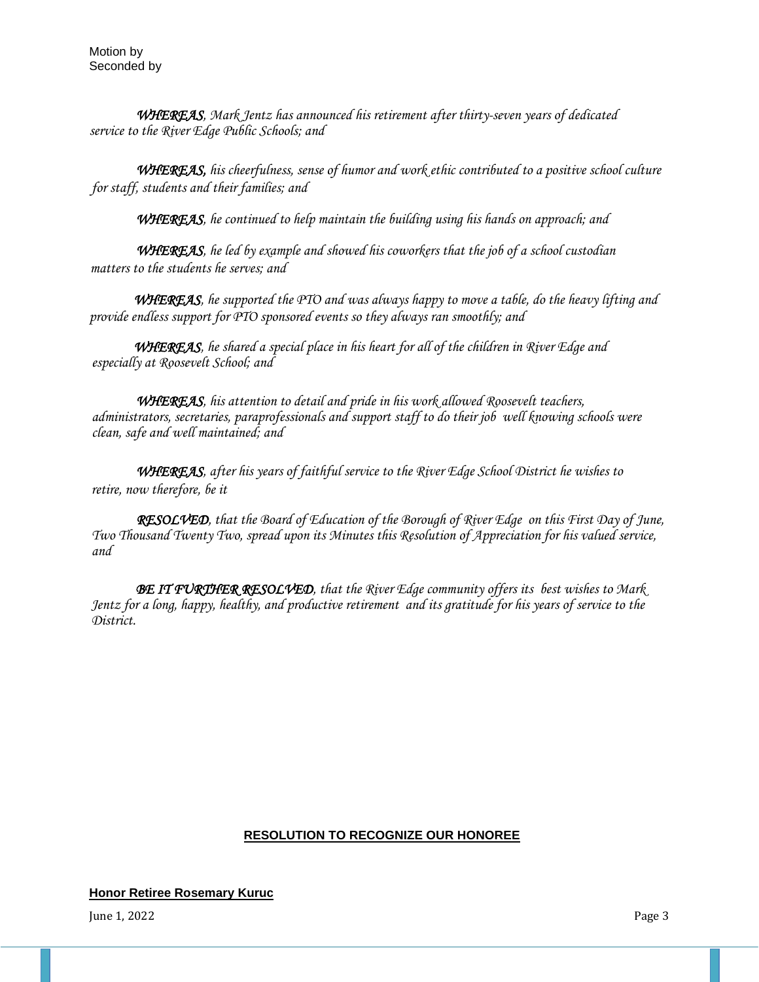*WHEREAS, Mark Jentz has announced his retirement after thirty-seven years of dedicated service to the River Edge Public Schools; and* 

*WHEREAS, his cheerfulness, sense of humor and work ethic contributed to a positive school culture for staff, students and their families; and* 

*WHEREAS, he continued to help maintain the building using his hands on approach; and* 

*WHEREAS, he led by example and showed his coworkers that the job of a school custodian matters to the students he serves; and* 

*WHEREAS, he supported the PTO and was always happy to move a table, do the heavy lifting and provide endless support for PTO sponsored events so they always ran smoothly; and* 

 *WHEREAS, he shared a special place in his heart for all of the children in River Edge and especially at Roosevelt School; and* 

*WHEREAS, his attention to detail and pride in his work allowed Roosevelt teachers, administrators, secretaries, paraprofessionals and support staff to do their job well knowing schools were clean, safe and well maintained; and* 

*WHEREAS, after his years of faithful service to the River Edge School District he wishes to retire, now therefore, be it* 

*RESOLVED, that the Board of Education of the Borough of River Edge on this First Day of June, Two Thousand Twenty Two, spread upon its Minutes this Resolution of Appreciation for his valued service, and* 

*BE IT FURTHER RESOLVED, that the River Edge community offers its best wishes to Mark Jentz for a long, happy, healthy, and productive retirement and its gratitude for his years of service to the District.*

### **RESOLUTION TO RECOGNIZE OUR HONOREE**

#### **Honor Retiree Rosemary Kuruc**

June 1, 2022  $P$ age 3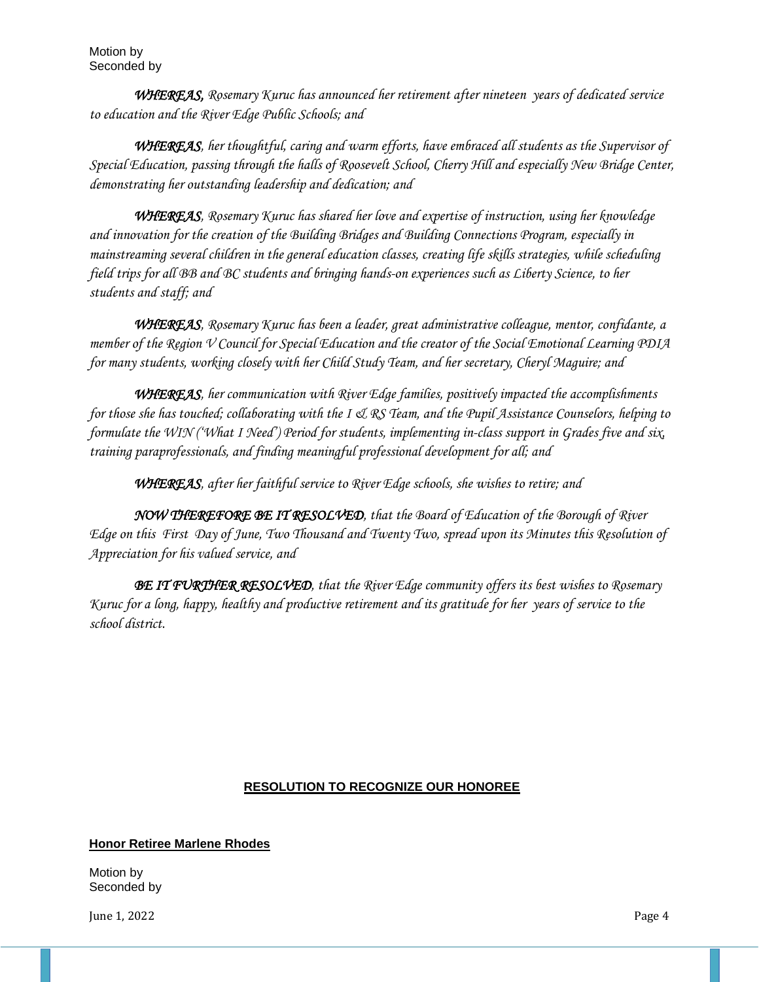*WHEREAS, Rosemary Kuruc has announced her retirement after nineteen years of dedicated service to education and the River Edge Public Schools; and*

 *WHEREAS, her thoughtful, caring and warm efforts, have embraced all students as the Supervisor of Special Education, passing through the halls of Roosevelt School, Cherry Hill and especially New Bridge Center, demonstrating her outstanding leadership and dedication; and*

 *WHEREAS, Rosemary Kuruc has shared her love and expertise of instruction, using her knowledge and innovation for the creation of the Building Bridges and Building Connections Program, especially in mainstreaming several children in the general education classes, creating life skills strategies, while scheduling field trips for all BB and BC students and bringing hands-on experiences such as Liberty Science, to her students and staff; and* 

 *WHEREAS, Rosemary Kuruc has been a leader, great administrative colleague, mentor, confidante, a member of the Region V Council for Special Education and the creator of the Social Emotional Learning PDIA for many students, working closely with her Child Study Team, and her secretary, Cheryl Maguire; and*

 *WHEREAS, her communication with River Edge families, positively impacted the accomplishments for those she has touched; collaborating with the I & RS Team, and the Pupil Assistance Counselors, helping to formulate the WIN ('What I Need') Period for students, implementing in-class support in Grades five and six, training paraprofessionals, and finding meaningful professional development for all; and*

 *WHEREAS, after her faithful service to River Edge schools, she wishes to retire; and*

 *NOW THEREFORE BE IT RESOLVED, that the Board of Education of the Borough of River Edge on this First Day of June, Two Thousand and Twenty Two, spread upon its Minutes this Resolution of Appreciation for his valued service, and*

 *BE IT FURTHER RESOLVED, that the River Edge community offers its best wishes to Rosemary Kuruc for a long, happy, healthy and productive retirement and its gratitude for her years of service to the school district.*

## **RESOLUTION TO RECOGNIZE OUR HONOREE**

## **Honor Retiree Marlene Rhodes**

Motion by Seconded by

June 1, 2022 Page 4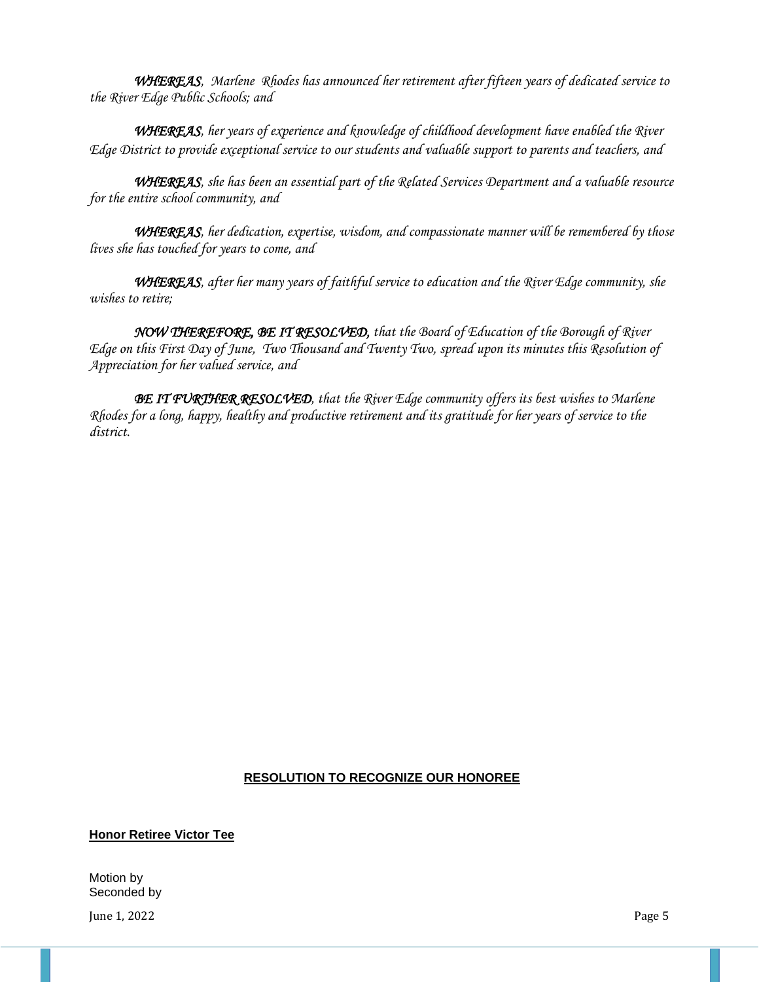*WHEREAS, Marlene Rhodes has announced her retirement after fifteen years of dedicated service to the River Edge Public Schools; and*

 *WHEREAS, her years of experience and knowledge of childhood development have enabled the River Edge District to provide exceptional service to our students and valuable support to parents and teachers, and* 

*WHEREAS, she has been an essential part of the Related Services Department and a valuable resource for the entire school community, and*

*WHEREAS, her dedication, expertise, wisdom, and compassionate manner will be remembered by those lives she has touched for years to come, and*

*WHEREAS, after her many years of faithful service to education and the River Edge community, she wishes to retire;*

*NOW THEREFORE, BE IT RESOLVED, that the Board of Education of the Borough of River Edge on this First Day of June, Two Thousand and Twenty Two, spread upon its minutes this Resolution of Appreciation for her valued service, and*

*BE IT FURTHER RESOLVED, that the River Edge community offers its best wishes to Marlene Rhodes for a long, happy, healthy and productive retirement and its gratitude for her years of service to the district.* 

### **RESOLUTION TO RECOGNIZE OUR HONOREE**

**Honor Retiree Victor Tee**

Motion by Seconded by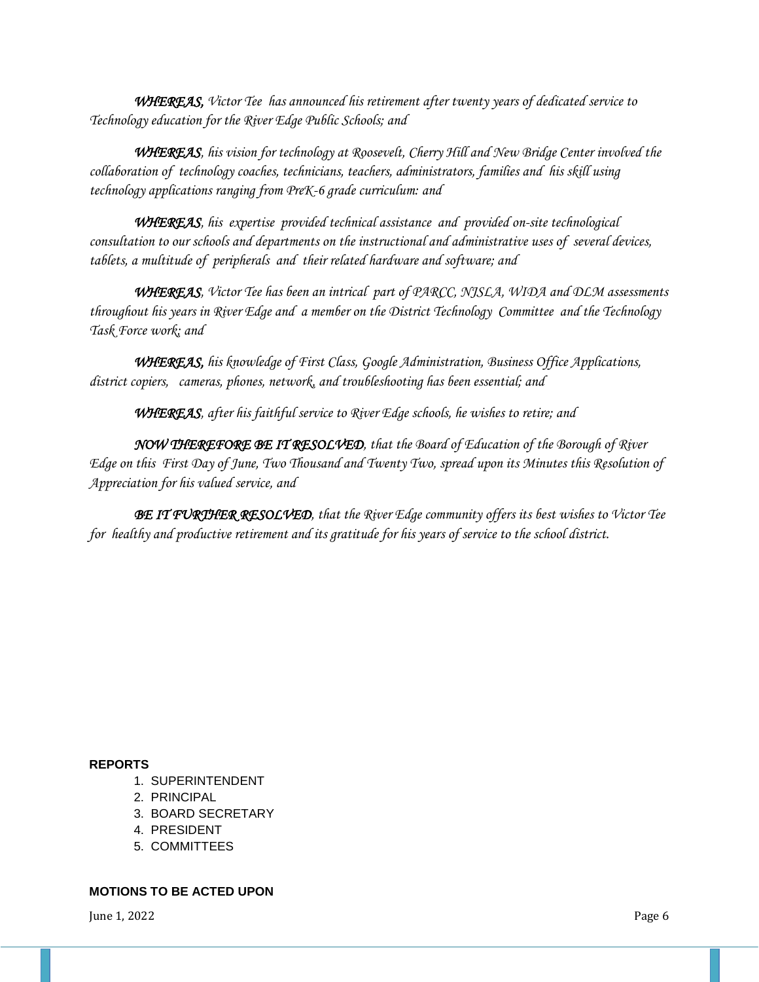*WHEREAS, Victor Tee has announced his retirement after twenty years of dedicated service to Technology education for the River Edge Public Schools; and*

 *WHEREAS, his vision for technology at Roosevelt, Cherry Hill and New Bridge Center involved the collaboration of technology coaches, technicians, teachers, administrators, families and his skill using technology applications ranging from PreK-6 grade curriculum: and* 

 *WHEREAS, his expertise provided technical assistance and provided on-site technological consultation to our schools and departments on the instructional and administrative uses of several devices, tablets, a multitude of peripherals and their related hardware and software; and* 

 *WHEREAS, Victor Tee has been an intrical part of PARCC, NJSLA, WIDA and DLM assessments throughout his years in River Edge and a member on the District Technology Committee and the Technology Task Force work; and*

*WHEREAS, his knowledge of First Class, Google Administration, Business Office Applications, district copiers, cameras, phones, network, and troubleshooting has been essential; and* 

 *WHEREAS, after his faithful service to River Edge schools, he wishes to retire; and*

 *NOW THEREFORE BE IT RESOLVED, that the Board of Education of the Borough of River Edge on this First Day of June, Two Thousand and Twenty Two, spread upon its Minutes this Resolution of Appreciation for his valued service, and*

 *BE IT FURTHER RESOLVED, that the River Edge community offers its best wishes to Victor Tee for healthy and productive retirement and its gratitude for his years of service to the school district.*

#### **REPORTS**

- 1. SUPERINTENDENT
- 2. PRINCIPAL
- 3. BOARD SECRETARY
- 4. PRESIDENT
- 5. COMMITTEES

#### **MOTIONS TO BE ACTED UPON**

June 1, 2022 Page 6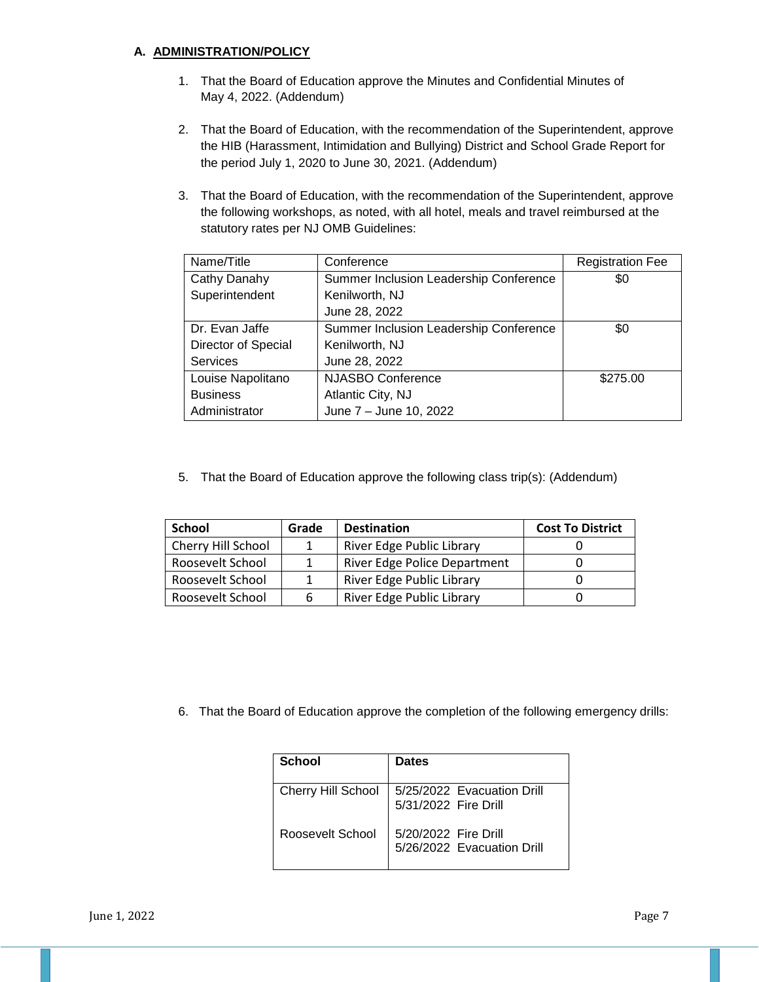### **A. ADMINISTRATION/POLICY**

- 1. That the Board of Education approve the Minutes and Confidential Minutes of May 4, 2022. (Addendum)
- 2. That the Board of Education, with the recommendation of the Superintendent, approve the HIB (Harassment, Intimidation and Bullying) District and School Grade Report for the period July 1, 2020 to June 30, 2021. (Addendum)
- 3. That the Board of Education, with the recommendation of the Superintendent, approve the following workshops, as noted, with all hotel, meals and travel reimbursed at the statutory rates per NJ OMB Guidelines:

| Name/Title          | Conference                             | <b>Registration Fee</b> |
|---------------------|----------------------------------------|-------------------------|
| Cathy Danahy        | Summer Inclusion Leadership Conference | \$0                     |
| Superintendent      | Kenilworth, NJ                         |                         |
|                     | June 28, 2022                          |                         |
| Dr. Evan Jaffe      | Summer Inclusion Leadership Conference | \$0                     |
| Director of Special | Kenilworth, NJ                         |                         |
| <b>Services</b>     | June 28, 2022                          |                         |
| Louise Napolitano   | <b>NJASBO Conference</b>               | \$275.00                |
| <b>Business</b>     | Atlantic City, NJ                      |                         |
| Administrator       | June 7 - June 10, 2022                 |                         |

5. That the Board of Education approve the following class trip(s): (Addendum)

| School                    | Grade | <b>Destination</b>                  | <b>Cost To District</b> |
|---------------------------|-------|-------------------------------------|-------------------------|
| <b>Cherry Hill School</b> |       | River Edge Public Library           |                         |
| Roosevelt School          |       | <b>River Edge Police Department</b> |                         |
| Roosevelt School          |       | River Edge Public Library           |                         |
| Roosevelt School          |       | River Edge Public Library           |                         |

6. That the Board of Education approve the completion of the following emergency drills:

| School                    | <b>Dates</b>                                       |
|---------------------------|----------------------------------------------------|
| <b>Cherry Hill School</b> | 5/25/2022 Evacuation Drill<br>5/31/2022 Fire Drill |
| Roosevelt School          | 5/20/2022 Fire Drill<br>5/26/2022 Evacuation Drill |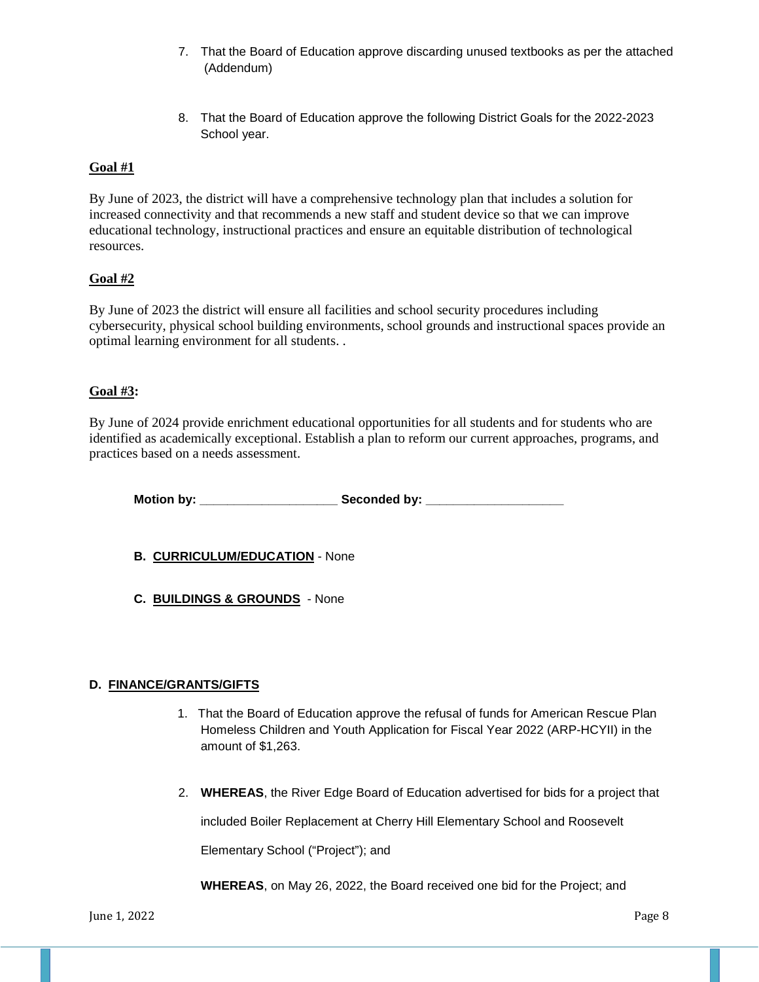- 7. That the Board of Education approve discarding unused textbooks as per the attached (Addendum)
- 8. That the Board of Education approve the following District Goals for the 2022-2023 School year.

## **Goal #1**

By June of 2023, the district will have a comprehensive technology plan that includes a solution for increased connectivity and that recommends a new staff and student device so that we can improve educational technology, instructional practices and ensure an equitable distribution of technological resources.

### **[Goal #2](https://drive.google.com/drive/folders/16-obT4l76SHK1je7SzOhRf0rzgIXzbiP?usp=sharing)**

By June of 2023 the district will ensure all facilities and school security procedures including cybersecurity, physical school building environments, school grounds and instructional spaces provide an optimal learning environment for all students. .

## **[Goal #3:](https://drive.google.com/drive/folders/1-3gL3l-psZJiPPX2oCP_d4ACCu8ZfOwZ?usp=sharing)**

By June of 2024 provide enrichment educational opportunities for all students and for students who are identified as academically exceptional. Establish a plan to reform our current approaches, programs, and practices based on a needs assessment.

**Motion by: \_\_\_\_\_\_\_\_\_\_\_\_\_\_\_\_\_\_\_\_ Seconded by: \_\_\_\_\_\_\_\_\_\_\_\_\_\_\_\_\_\_\_\_**

- **B. CURRICULUM/EDUCATION** None
- **C. BUILDINGS & GROUNDS** None

### **D. FINANCE/GRANTS/GIFTS**

- 1. That the Board of Education approve the refusal of funds for American Rescue Plan Homeless Children and Youth Application for Fiscal Year 2022 (ARP-HCYII) in the amount of \$1,263.
- 2. **WHEREAS**, the River Edge Board of Education advertised for bids for a project that

included Boiler Replacement at Cherry Hill Elementary School and Roosevelt

Elementary School ("Project"); and

**WHEREAS**, on May 26, 2022, the Board received one bid for the Project; and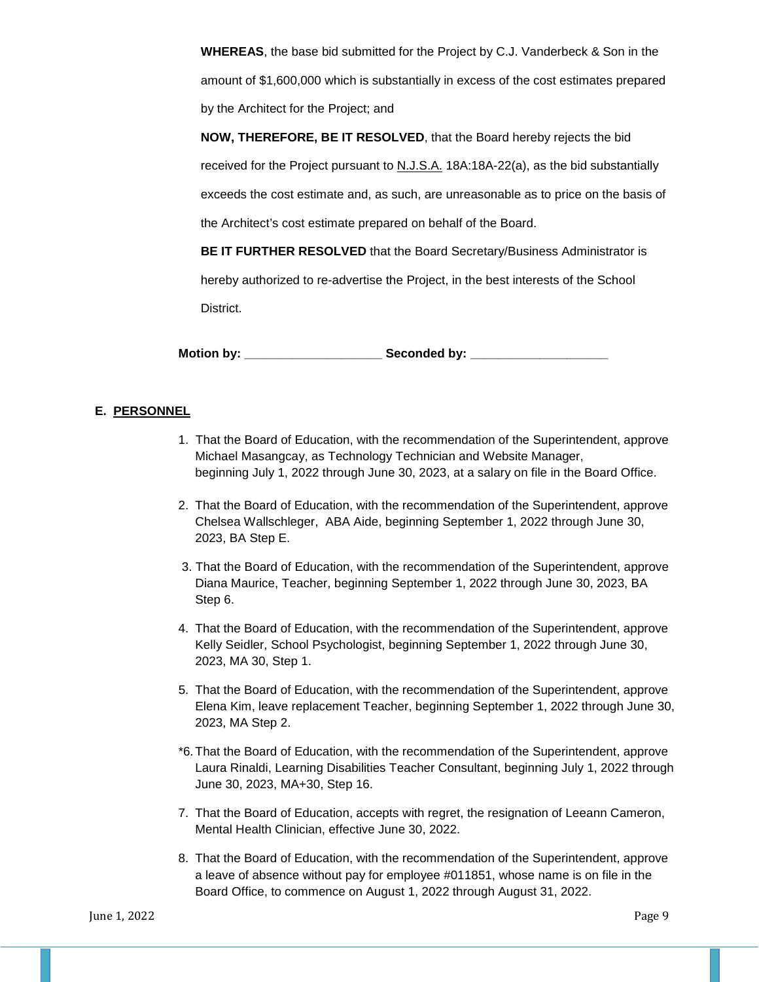**WHEREAS**, the base bid submitted for the Project by C.J. Vanderbeck & Son in the amount of \$1,600,000 which is substantially in excess of the cost estimates prepared by the Architect for the Project; and

**NOW, THEREFORE, BE IT RESOLVED**, that the Board hereby rejects the bid

received for the Project pursuant to N.J.S.A. 18A:18A-22(a), as the bid substantially

exceeds the cost estimate and, as such, are unreasonable as to price on the basis of

the Architect's cost estimate prepared on behalf of the Board.

**BE IT FURTHER RESOLVED** that the Board Secretary/Business Administrator is hereby authorized to re-advertise the Project, in the best interests of the School District.

**Motion by: \_\_\_\_\_\_\_\_\_\_\_\_\_\_\_\_\_\_\_\_ Seconded by: \_\_\_\_\_\_\_\_\_\_\_\_\_\_\_\_\_\_\_\_**

## **E. PERSONNEL**

- 1. That the Board of Education, with the recommendation of the Superintendent, approve Michael Masangcay, as Technology Technician and Website Manager, beginning July 1, 2022 through June 30, 2023, at a salary on file in the Board Office.
- 2. That the Board of Education, with the recommendation of the Superintendent, approve Chelsea Wallschleger, ABA Aide, beginning September 1, 2022 through June 30, 2023, BA Step E.
- 3. That the Board of Education, with the recommendation of the Superintendent, approve Diana Maurice, Teacher, beginning September 1, 2022 through June 30, 2023, BA Step 6.
- 4. That the Board of Education, with the recommendation of the Superintendent, approve Kelly Seidler, School Psychologist, beginning September 1, 2022 through June 30, 2023, MA 30, Step 1.
- 5. That the Board of Education, with the recommendation of the Superintendent, approve Elena Kim, leave replacement Teacher, beginning September 1, 2022 through June 30, 2023, MA Step 2.
- \*6.That the Board of Education, with the recommendation of the Superintendent, approve Laura Rinaldi, Learning Disabilities Teacher Consultant, beginning July 1, 2022 through June 30, 2023, MA+30, Step 16.
- 7. That the Board of Education, accepts with regret, the resignation of Leeann Cameron, Mental Health Clinician, effective June 30, 2022.
- 8. That the Board of Education, with the recommendation of the Superintendent, approve a leave of absence without pay for employee #011851, whose name is on file in the Board Office, to commence on August 1, 2022 through August 31, 2022.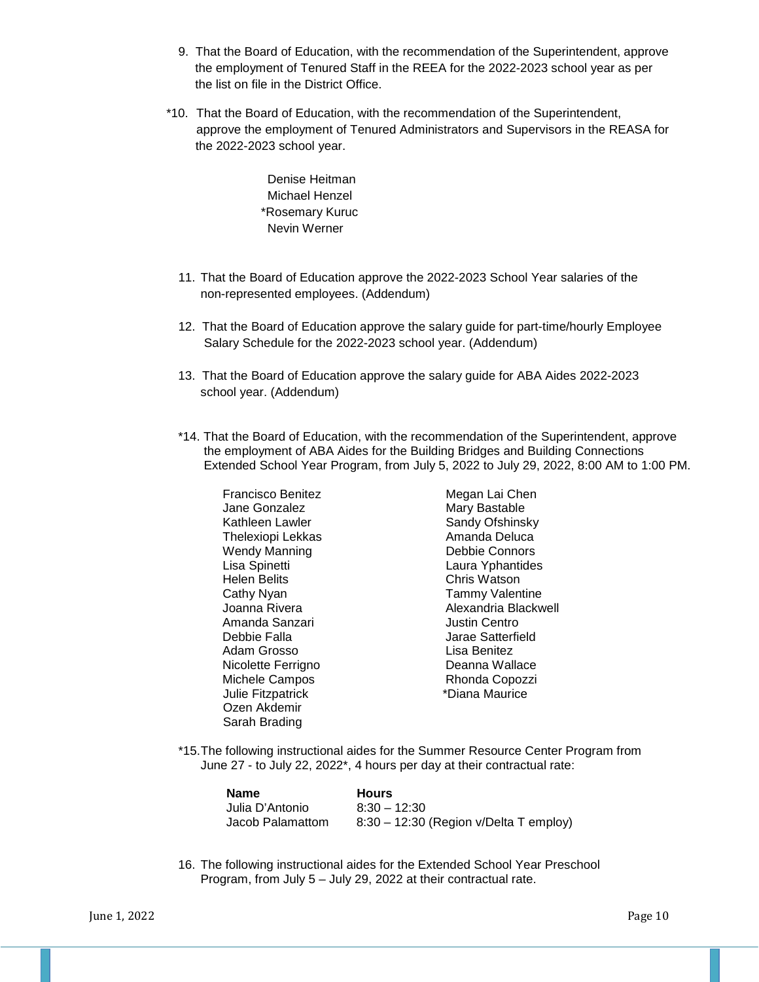- 9. That the Board of Education, with the recommendation of the Superintendent, approve the employment of Tenured Staff in the REEA for the 2022-2023 school year as per the list on file in the District Office.
- \*10. That the Board of Education, with the recommendation of the Superintendent, approve the employment of Tenured Administrators and Supervisors in the REASA for the 2022-2023 school year.

Denise Heitman Michael Henzel \*Rosemary Kuruc Nevin Werner

- 11. That the Board of Education approve the 2022-2023 School Year salaries of the non-represented employees. (Addendum)
- 12. That the Board of Education approve the salary guide for part-time/hourly Employee Salary Schedule for the 2022-2023 school year. (Addendum)
- 13. That the Board of Education approve the salary guide for ABA Aides 2022-2023 school year. (Addendum)
- \*14. That the Board of Education, with the recommendation of the Superintendent, approve the employment of ABA Aides for the Building Bridges and Building Connections Extended School Year Program, from July 5, 2022 to July 29, 2022, 8:00 AM to 1:00 PM.

Francisco Benitez **Megan Lai Chen** Jane Gonzalez **Mary Bastable** Kathleen Lawler Sandy Ofshinsky Thelexiopi Lekkas Amanda Deluca Wendy Manning<br>Lisa Spinetti Laura Yphantides Helen Belits **Chris Watson** Cathy Nyan<br>
Cathy Nyan **Tammy Valentine**<br>
Cathy Alexandria Blackw Alexandria Blackwell Amanda Sanzari **Amanda Sanzari Amanda Sanzari Amanda** Justin Centro<br>Debbie Falla Jarae Satterfield Adam Grosso **Lisa Benitez** Nicolette Ferrigno<br>
Michele Campos<br>
Nichele Campos<br>
Deanna Rhonda Copozzi Michele Campos Julie Fitzpatrick \*Diana Maurice Ozen Akdemir Sarah Brading

\*15.The following instructional aides for the Summer Resource Center Program from June 27 - to July 22, 2022\*, 4 hours per day at their contractual rate:

| Name             | <b>Hours</b>                           |
|------------------|----------------------------------------|
| Julia D'Antonio  | $8:30 - 12:30$                         |
| Jacob Palamattom | 8:30 - 12:30 (Region v/Delta T employ) |

16. The following instructional aides for the Extended School Year Preschool Program, from July 5 – July 29, 2022 at their contractual rate.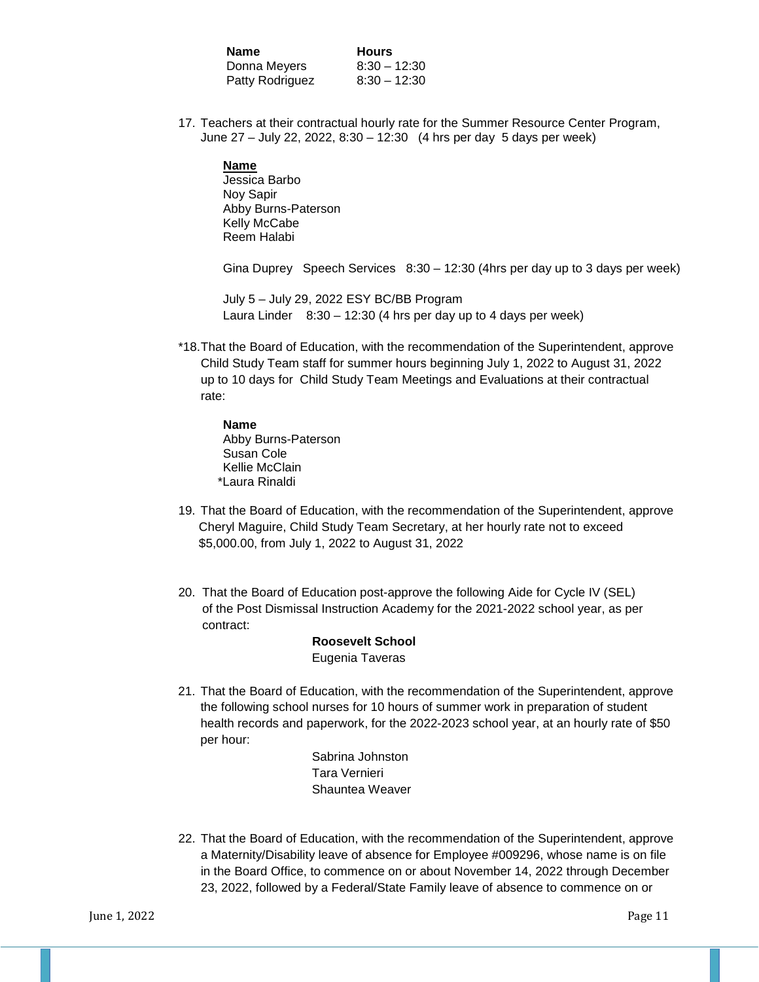**Name Hours**<br>Donna Meyers 8:30 – 12:30 Donna Meyers Patty Rodriguez 8:30 - 12:30

17. Teachers at their contractual hourly rate for the Summer Resource Center Program, June 27 – July 22, 2022, 8:30 – 12:30 (4 hrs per day 5 days per week)

**Name** Jessica Barbo Noy Sapir Abby Burns-Paterson Kelly McCabe Reem Halabi

Gina Duprey Speech Services 8:30 – 12:30 (4hrs per day up to 3 days per week)

July 5 – July 29, 2022 ESY BC/BB Program Laura Linder  $8:30 - 12:30$  (4 hrs per day up to 4 days per week)

\*18.That the Board of Education, with the recommendation of the Superintendent, approve Child Study Team staff for summer hours beginning July 1, 2022 to August 31, 2022 up to 10 days for Child Study Team Meetings and Evaluations at their contractual rate:

**Name** Abby Burns-Paterson Susan Cole Kellie McClain \*Laura Rinaldi

- 19. That the Board of Education, with the recommendation of the Superintendent, approve Cheryl Maguire, Child Study Team Secretary, at her hourly rate not to exceed \$5,000.00, from July 1, 2022 to August 31, 2022
- 20. That the Board of Education post-approve the following Aide for Cycle IV (SEL) of the Post Dismissal Instruction Academy for the 2021-2022 school year, as per contract:

### **Roosevelt School** Eugenia Taveras

 21. That the Board of Education, with the recommendation of the Superintendent, approve the following school nurses for 10 hours of summer work in preparation of student health records and paperwork, for the 2022-2023 school year, at an hourly rate of \$50 per hour:

> Sabrina Johnston Tara Vernieri Shauntea Weaver

22. That the Board of Education, with the recommendation of the Superintendent, approve a Maternity/Disability leave of absence for Employee #009296, whose name is on file in the Board Office, to commence on or about November 14, 2022 through December 23, 2022, followed by a Federal/State Family leave of absence to commence on or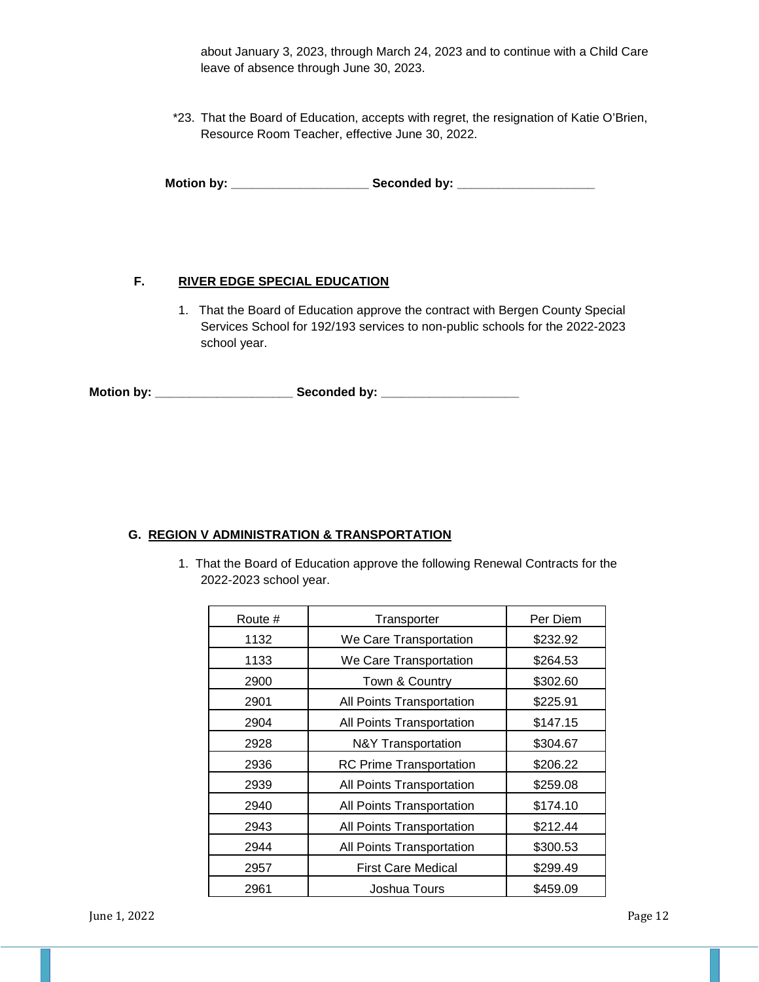about January 3, 2023, through March 24, 2023 and to continue with a Child Care leave of absence through June 30, 2023.

\*23. That the Board of Education, accepts with regret, the resignation of Katie O'Brien, Resource Room Teacher, effective June 30, 2022.

**Motion by: \_\_\_\_\_\_\_\_\_\_\_\_\_\_\_\_\_\_\_\_ Seconded by: \_\_\_\_\_\_\_\_\_\_\_\_\_\_\_\_\_\_\_\_**

## **F. RIVER EDGE SPECIAL EDUCATION**

1. That the Board of Education approve the contract with Bergen County Special Services School for 192/193 services to non-public schools for the 2022-2023 school year.

**Motion by: \_\_\_\_\_\_\_\_\_\_\_\_\_\_\_\_\_\_\_\_ Seconded by: \_\_\_\_\_\_\_\_\_\_\_\_\_\_\_\_\_\_\_\_**

### **G. REGION V ADMINISTRATION & TRANSPORTATION**

1. That the Board of Education approve the following Renewal Contracts for the 2022-2023 school year.

| Route # | Transporter                    | Per Diem |
|---------|--------------------------------|----------|
| 1132    | We Care Transportation         | \$232.92 |
| 1133    | We Care Transportation         | \$264.53 |
| 2900    | Town & Country                 | \$302.60 |
| 2901    | All Points Transportation      | \$225.91 |
| 2904    | All Points Transportation      | \$147.15 |
| 2928    | N&Y Transportation             | \$304.67 |
| 2936    | <b>RC Prime Transportation</b> | \$206.22 |
| 2939    | All Points Transportation      | \$259.08 |
| 2940    | All Points Transportation      | \$174.10 |
| 2943    | All Points Transportation      | \$212.44 |
| 2944    | All Points Transportation      | \$300.53 |
| 2957    | <b>First Care Medical</b>      | \$299.49 |
| 2961    | Joshua Tours                   | \$459.09 |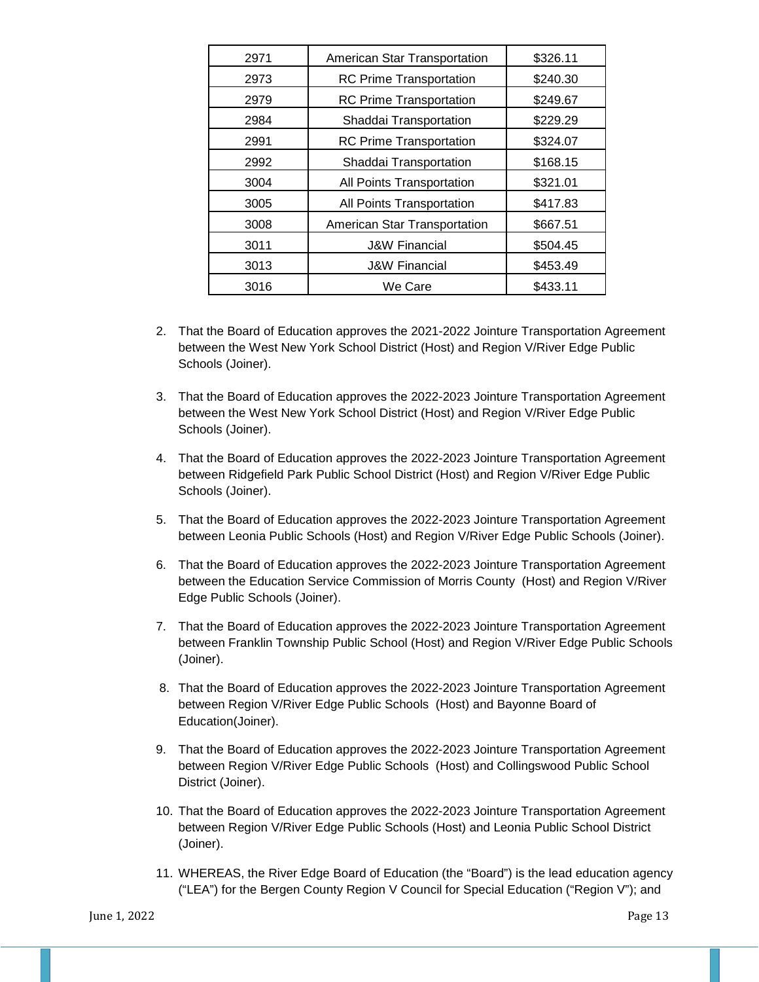| 2971 | American Star Transportation   | \$326.11 |
|------|--------------------------------|----------|
| 2973 | <b>RC Prime Transportation</b> | \$240.30 |
| 2979 | <b>RC Prime Transportation</b> | \$249.67 |
| 2984 | Shaddai Transportation         | \$229.29 |
| 2991 | <b>RC Prime Transportation</b> | \$324.07 |
| 2992 | Shaddai Transportation         | \$168.15 |
| 3004 | All Points Transportation      | \$321.01 |
| 3005 | All Points Transportation      | \$417.83 |
| 3008 | American Star Transportation   | \$667.51 |
| 3011 | <b>J&amp;W Financial</b>       | \$504.45 |
| 3013 | <b>J&amp;W Financial</b>       | \$453.49 |
| 3016 | We Care                        | \$433.11 |

- 2. That the Board of Education approves the 2021-2022 Jointure Transportation Agreement between the West New York School District (Host) and Region V/River Edge Public Schools (Joiner).
- 3. That the Board of Education approves the 2022-2023 Jointure Transportation Agreement between the West New York School District (Host) and Region V/River Edge Public Schools (Joiner).
- 4. That the Board of Education approves the 2022-2023 Jointure Transportation Agreement between Ridgefield Park Public School District (Host) and Region V/River Edge Public Schools (Joiner).
- 5. That the Board of Education approves the 2022-2023 Jointure Transportation Agreement between Leonia Public Schools (Host) and Region V/River Edge Public Schools (Joiner).
- 6. That the Board of Education approves the 2022-2023 Jointure Transportation Agreement between the Education Service Commission of Morris County (Host) and Region V/River Edge Public Schools (Joiner).
- 7. That the Board of Education approves the 2022-2023 Jointure Transportation Agreement between Franklin Township Public School (Host) and Region V/River Edge Public Schools (Joiner).
- 8. That the Board of Education approves the 2022-2023 Jointure Transportation Agreement between Region V/River Edge Public Schools (Host) and Bayonne Board of Education(Joiner).
- 9. That the Board of Education approves the 2022-2023 Jointure Transportation Agreement between Region V/River Edge Public Schools (Host) and Collingswood Public School District (Joiner).
- 10. That the Board of Education approves the 2022-2023 Jointure Transportation Agreement between Region V/River Edge Public Schools (Host) and Leonia Public School District (Joiner).
- 11. WHEREAS, the River Edge Board of Education (the "Board") is the lead education agency ("LEA") for the Bergen County Region V Council for Special Education ("Region V"); and